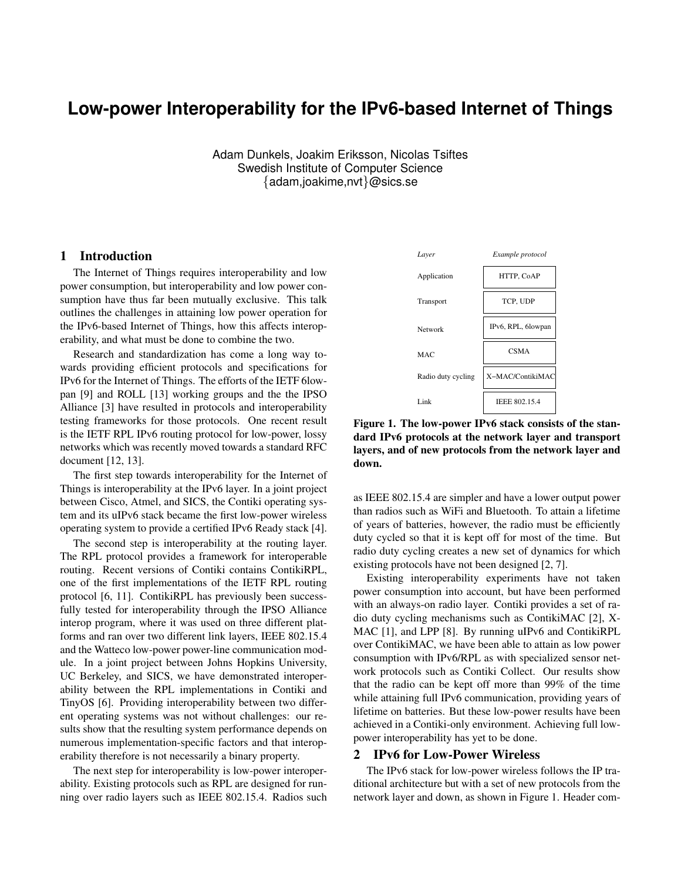# **Low-power Interoperability for the IPv6-based Internet of Things**

Adam Dunkels, Joakim Eriksson, Nicolas Tsiftes Swedish Institute of Computer Science {adam,joakime,nvt}@sics.se

# 1 Introduction

The Internet of Things requires interoperability and low power consumption, but interoperability and low power consumption have thus far been mutually exclusive. This talk outlines the challenges in attaining low power operation for the IPv6-based Internet of Things, how this affects interoperability, and what must be done to combine the two.

Research and standardization has come a long way towards providing efficient protocols and specifications for IPv6 for the Internet of Things. The efforts of the IETF 6lowpan [9] and ROLL [13] working groups and the the IPSO Alliance [3] have resulted in protocols and interoperability testing frameworks for those protocols. One recent result is the IETF RPL IPv6 routing protocol for low-power, lossy networks which was recently moved towards a standard RFC document [12, 13].

The first step towards interoperability for the Internet of Things is interoperability at the IPv6 layer. In a joint project between Cisco, Atmel, and SICS, the Contiki operating system and its uIPv6 stack became the first low-power wireless operating system to provide a certified IPv6 Ready stack [4].

The second step is interoperability at the routing layer. The RPL protocol provides a framework for interoperable routing. Recent versions of Contiki contains ContikiRPL, one of the first implementations of the IETF RPL routing protocol [6, 11]. ContikiRPL has previously been successfully tested for interoperability through the IPSO Alliance interop program, where it was used on three different platforms and ran over two different link layers, IEEE 802.15.4 and the Watteco low-power power-line communication module. In a joint project between Johns Hopkins University, UC Berkeley, and SICS, we have demonstrated interoperability between the RPL implementations in Contiki and TinyOS [6]. Providing interoperability between two different operating systems was not without challenges: our results show that the resulting system performance depends on numerous implementation-specific factors and that interoperability therefore is not necessarily a binary property.

The next step for interoperability is low-power interoperability. Existing protocols such as RPL are designed for running over radio layers such as IEEE 802.15.4. Radios such



Figure 1. The low-power IPv6 stack consists of the standard IPv6 protocols at the network layer and transport layers, and of new protocols from the network layer and down.

as IEEE 802.15.4 are simpler and have a lower output power than radios such as WiFi and Bluetooth. To attain a lifetime of years of batteries, however, the radio must be efficiently duty cycled so that it is kept off for most of the time. But radio duty cycling creates a new set of dynamics for which existing protocols have not been designed [2, 7].

Existing interoperability experiments have not taken power consumption into account, but have been performed with an always-on radio layer. Contiki provides a set of radio duty cycling mechanisms such as ContikiMAC [2], X-MAC [1], and LPP [8]. By running uIPv6 and ContikiRPL over ContikiMAC, we have been able to attain as low power consumption with IPv6/RPL as with specialized sensor network protocols such as Contiki Collect. Our results show that the radio can be kept off more than 99% of the time while attaining full IPv6 communication, providing years of lifetime on batteries. But these low-power results have been achieved in a Contiki-only environment. Achieving full lowpower interoperability has yet to be done.

## 2 IPv6 for Low-Power Wireless

The IPv6 stack for low-power wireless follows the IP traditional architecture but with a set of new protocols from the network layer and down, as shown in Figure 1. Header com-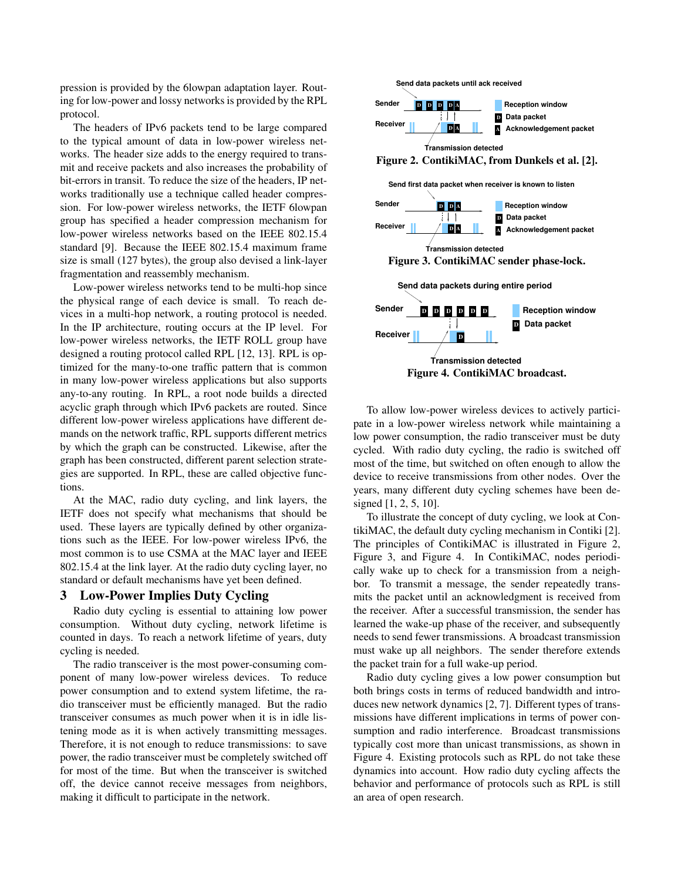pression is provided by the 6lowpan adaptation layer. Routing for low-power and lossy networks is provided by the RPL protocol.

The headers of IPv6 packets tend to be large compared to the typical amount of data in low-power wireless networks. The header size adds to the energy required to transmit and receive packets and also increases the probability of bit-errors in transit. To reduce the size of the headers, IP networks traditionally use a technique called header compression. For low-power wireless networks, the IETF 6lowpan group has specified a header compression mechanism for low-power wireless networks based on the IEEE 802.15.4 standard [9]. Because the IEEE 802.15.4 maximum frame size is small (127 bytes), the group also devised a link-layer fragmentation and reassembly mechanism.

Low-power wireless networks tend to be multi-hop since the physical range of each device is small. To reach devices in a multi-hop network, a routing protocol is needed. In the IP architecture, routing occurs at the IP level. For low-power wireless networks, the IETF ROLL group have designed a routing protocol called RPL [12, 13]. RPL is optimized for the many-to-one traffic pattern that is common in many low-power wireless applications but also supports any-to-any routing. In RPL, a root node builds a directed acyclic graph through which IPv6 packets are routed. Since different low-power wireless applications have different demands on the network traffic, RPL supports different metrics by which the graph can be constructed. Likewise, after the graph has been constructed, different parent selection strategies are supported. In RPL, these are called objective functions.

At the MAC, radio duty cycling, and link layers, the IETF does not specify what mechanisms that should be used. These layers are typically defined by other organizations such as the IEEE. For low-power wireless IPv6, the most common is to use CSMA at the MAC layer and IEEE 802.15.4 at the link layer. At the radio duty cycling layer, no standard or default mechanisms have yet been defined.

### 3 Low-Power Implies Duty Cycling

Radio duty cycling is essential to attaining low power consumption. Without duty cycling, network lifetime is counted in days. To reach a network lifetime of years, duty cycling is needed.

The radio transceiver is the most power-consuming component of many low-power wireless devices. To reduce power consumption and to extend system lifetime, the radio transceiver must be efficiently managed. But the radio transceiver consumes as much power when it is in idle listening mode as it is when actively transmitting messages. Therefore, it is not enough to reduce transmissions: to save power, the radio transceiver must be completely switched off for most of the time. But when the transceiver is switched off, the device cannot receive messages from neighbors, making it difficult to participate in the network.



To allow low-power wireless devices to actively participate in a low-power wireless network while maintaining a low power consumption, the radio transceiver must be duty cycled. With radio duty cycling, the radio is switched off most of the time, but switched on often enough to allow the device to receive transmissions from other nodes. Over the years, many different duty cycling schemes have been designed [1, 2, 5, 10].

To illustrate the concept of duty cycling, we look at ContikiMAC, the default duty cycling mechanism in Contiki [2]. The principles of ContikiMAC is illustrated in Figure 2, Figure 3, and Figure 4. In ContikiMAC, nodes periodically wake up to check for a transmission from a neighbor. To transmit a message, the sender repeatedly transmits the packet until an acknowledgment is received from the receiver. After a successful transmission, the sender has learned the wake-up phase of the receiver, and subsequently needs to send fewer transmissions. A broadcast transmission must wake up all neighbors. The sender therefore extends the packet train for a full wake-up period.

Radio duty cycling gives a low power consumption but both brings costs in terms of reduced bandwidth and introduces new network dynamics [2, 7]. Different types of transmissions have different implications in terms of power consumption and radio interference. Broadcast transmissions typically cost more than unicast transmissions, as shown in Figure 4. Existing protocols such as RPL do not take these dynamics into account. How radio duty cycling affects the behavior and performance of protocols such as RPL is still an area of open research.